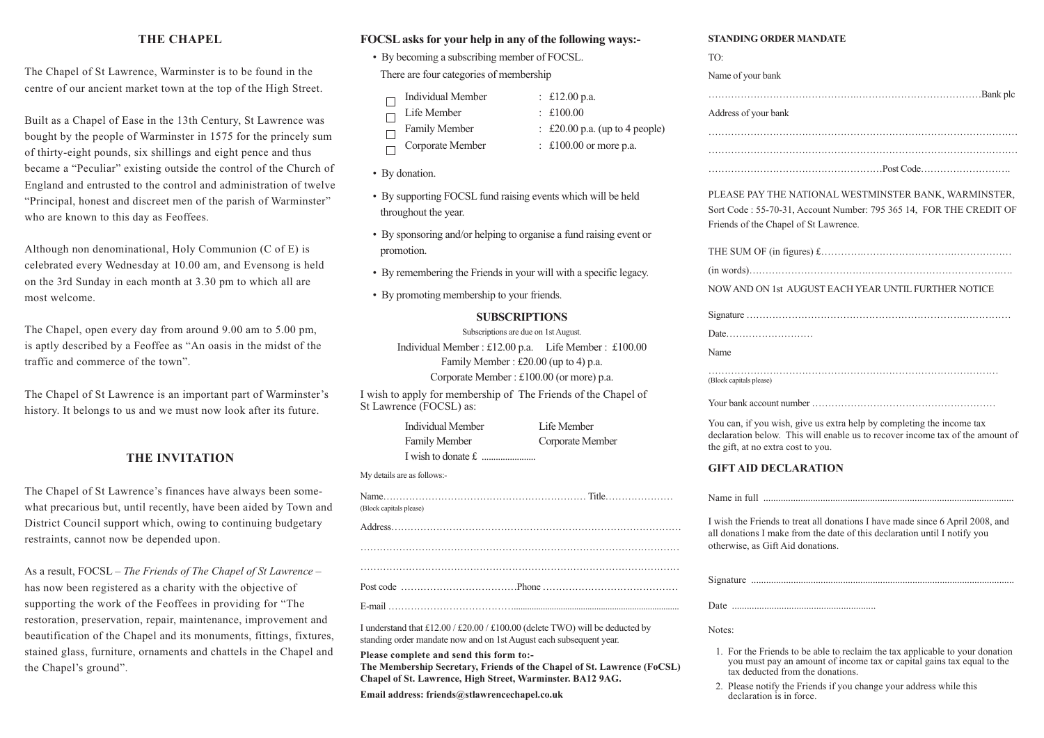### **THE CHAPEL**

The Chapel of St Lawrence, Warminster is to be found in the centre of our ancient market town at the top of the High Street.

Built as a Chapel of Ease in the 13th Century, St Lawrence was bought by the people of Warminster in 1575 for the princely sum of thirty-eight pounds, six shillings and eight pence and thus became a "Peculiar" existing outside the control of the Church of England and entrusted to the control and administration of twelve "Principal, honest and discreet men of the parish of Warminster" who are known to this day as Feoffees.

Although non denominational, Holy Communion (C of E) is celebrated every Wednesday at 10.00 am, and Evensong is held on the 3rd Sunday in each month at 3.30 pm to which all are most welcome.

The Chapel, open every day from around 9.00 am to 5.00 pm, is aptly described by a Feoffee as "An oasis in the midst of the traffic and commerce of the town".

The Chapel of St Lawrence is an important part of Warminster's history. It belongs to us and we must now look after its future.

### **THE INVITATION**

The Chapel of St Lawrence's finances have always been somewhat precarious but, until recently, have been aided by Town and District Council support which, owing to continuing budgetary restraints, cannot now be depended upon.

As a result, FOCSL – *The Friends of The Chapel of St Lawrence* – has now been registered as a charity with the objective of supporting the work of the Feoffees in providing for "The restoration, preservation, repair, maintenance, improvement and beautification of the Chapel and its monuments, fittings, fixtures, stained glass, furniture, ornaments and chattels in the Chapel and the Chapel's ground".

#### **FOCSLasks for your help in any of the following ways:-**

• By becoming a subscribing member of FOCSL.

There are four categories of membership

- Individual Member : £12.00 p.a.  $\Box$
- Life Member : £100.00  $\Box$
- Family Member : £20.00 p.a. (up to 4 people)  $\Box$
- Corporate Member : £100.00 or more p.a.  $\Box$
- By donation.
- By supporting FOCSL fund raising events which will be held throughout the year.
- By sponsoring and/or helping to organise a fund raising event or promotion.
- By remembering the Friends in your will with a specific legacy.
- By promoting membership to your friends.

#### **SUBSCRIPTIONS**

Subscriptions are due on 1st August.

Individual Member : £12.00 p.a. Life Member : £100.00 Family Member : £20.00 (up to 4) p.a. Corporate Member : £100.00 (or more) p.a.

I wish to apply for membership of The Friends of the Chapel of St Lawrence (FOCSL) as:

| Individual Member    | Life Member      |
|----------------------|------------------|
| <b>Family Member</b> | Corporate Member |
|                      |                  |

My details are as follows:-

| (Block capitals please) |  |
|-------------------------|--|
|                         |  |
|                         |  |
|                         |  |
|                         |  |

| E-mail |  |  |  |  |
|--------|--|--|--|--|

I understand that £12.00 / £20.00 / £100.00 (delete TWO) will be deducted by standing order mandate now and on 1st August each subsequent year.

**Please complete and send this form to:-**

**The Membership Secretary, Friends of the Chapel of St. Lawrence (FoCSL) Chapel of St. Lawrence, High Street, Warminster. BA12 9AG.**

**Email address: friends@stlawrencechapel.co.uk**

#### **STANDING ORDER MANDATE**

| TO:                                                                                                                                                                                             |
|-------------------------------------------------------------------------------------------------------------------------------------------------------------------------------------------------|
| Name of your bank                                                                                                                                                                               |
|                                                                                                                                                                                                 |
| Address of your bank                                                                                                                                                                            |
|                                                                                                                                                                                                 |
|                                                                                                                                                                                                 |
|                                                                                                                                                                                                 |
| PLEASE PAY THE NATIONAL WESTMINSTER BANK, WARMINSTER,<br>Sort Code: 55-70-31, Account Number: 795 365 14, FOR THE CREDIT OF<br>Friends of the Chapel of St Lawrence.                            |
|                                                                                                                                                                                                 |
|                                                                                                                                                                                                 |
| NOW AND ON 1st AUGUST EACH YEAR UNTIL FURTHER NOTICE                                                                                                                                            |
|                                                                                                                                                                                                 |
| Date                                                                                                                                                                                            |
| Name                                                                                                                                                                                            |
| (Block capitals please)                                                                                                                                                                         |
|                                                                                                                                                                                                 |
| You can, if you wish, give us extra help by completing the income tax<br>declaration below. This will enable us to recover income tax of the amount of<br>the gift, at no extra cost to you.    |
| <b>GIFT AID DECLARATION</b>                                                                                                                                                                     |
|                                                                                                                                                                                                 |
| I wish the Friends to treat all donations I have made since 6 April 2008, and<br>all donations I make from the date of this declaration until I notify you<br>otherwise, as Gift Aid donations. |
|                                                                                                                                                                                                 |
|                                                                                                                                                                                                 |
| Notes:                                                                                                                                                                                          |
| 1. For the Friends to be able to reclaim the tax applicable to your dopation                                                                                                                    |

- the Friends to be able to reclaim the tax applicable to your you must pay an amount of income tax or capital gains tax equal to the tax deducted from the donations.
- 2. Please notify the Friends if you change your address while this declaration is in force.